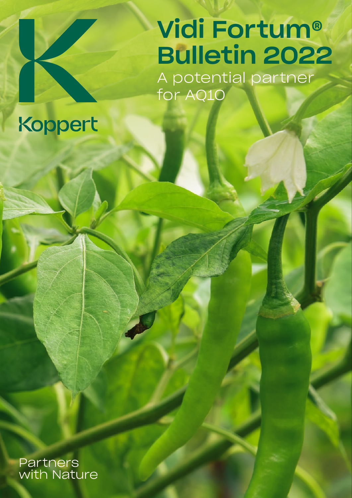## Vidi Fortum® Bulletin 2022 A potential partner for AQ10

## Koppert

# Partners<br>with Nature